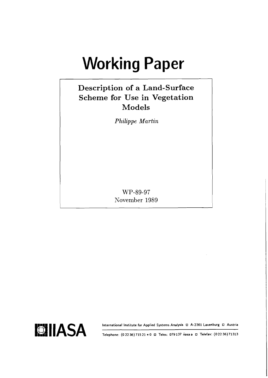# **Working Paper**

# **Description of a Land-Surface Scheme for Use in Vegetation Models**

*Philippe Martin* 

WP-89-97 November 1989



**Telephone: (0 22 36) 715 21** \* **0 Telex: 079 137 iiasa a Telefax: (0 22 36)71313**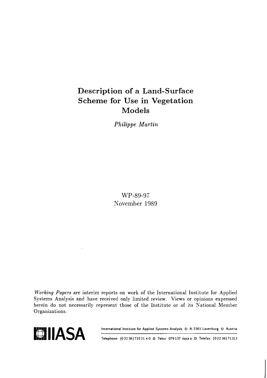# Description of a Land-Surface Scheme for Use in Vegetation Models

**Philippe Martin** 

WP-89-97 November 1989

**Working** Papers are interim reports on work of the International Institute for Applied Systems Analysis and have received only limited review. Views or opinions expressed herein do not necessarily represent those of the Institute or of its National Member Organizations.



**Telephone: (0 22 36) 715 21** \* **0 Telex: 079 137 iiasa a Telefax: (0 22 36) 71313**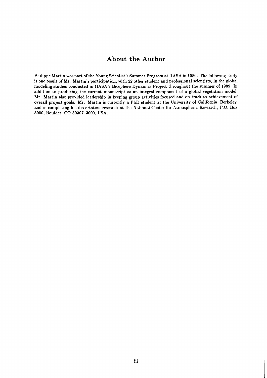## **About the Author**

Philippe Martin was part of the Young Scientist's Summer Program at IIASA in 1989. The following study is one result of Mr. Martin's participation, with 22 other student and professional scientists, in the global modeling studies conducted in IIASA's Biosphere Dynamics Project throughout the summer of 1989. In addition to producing the current manuscript as an integral component of a global vegetation model, Mr. Martin also provided leadership in keeping group activities focused and on track to achievement of overall project goals. Mr. Martin is currently a PhD student at the University of California, Berkeley, and is completing his dissertation research at the National Center for Atmospheric Research, P.O. Box 3000, Boulder, CO 80307-3000, USA.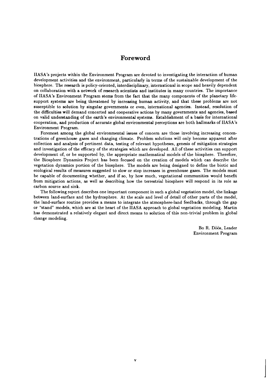## **Foreword**

IIASA's projects within the Environment Program are devoted to investigating the interaction of human development activities and the environment, particularly in terms of the sustainable development of the biosphere. The research is policy-oriented, interdisciplinary, international in scope and heavily dependent on collaboration with a network of research scientists and institutes in many countries. The importance of IIASA's Environment Program stems from the fact that the many components of the planetary lifesupport systems are being threatened by increasing human activity, and that these problems are not susceptible to solution by singular governments or even, international agencies. Instead, resolution of the difficulties will demand concerted and cooperative actions by many governments and agencies, based on valid understanding of the earth's environmental systems. Establishment of a basis for international cooperation, and production of accurate global environmental perceptions are both hallmarks of IIASA's Environment Program.

Foremost among the global environmental issues of concern are those involving increasing concentrations of greenhouse gases and changing climate. Problem solutions will only become apparent after collection and analysis of pertinent data, testing of relevant hypotheses, genesis of mitigation strategies and investigation of the efficacy of the strategies which are developed. All of these activities can support development of, or be supported by, the appropriate mathematical models of the biosphere. Therefore, the Biosphere Dynamics Project has been focused on the creation of models which can describe the vegetation dynamics portion of the biosphere. The models are being designed to define the biotic and ecological results of measures suggested to slow or stop increases in greenhouse gases. The models must be capable of documenting whether, and if so, by how much, vegetational communities would benefit from mitigation actions, as well as describing how the terrestrial biosphere will respond in its role as carbon source and sink.

The following report describes one important component in such a global vegetation model, the linkage between land-surface and the hydrosphere. At the scale and level of detail of other parts of the model, the land-surface routine provides a means to integrate the atmosphere-land feedbacks, through the gap or "stand" models, which are at the heart of the IIASA approach to global vegetation modeling. Martin has demonstrated a relatively elegant and direct means to solution of this non-trivial problem in global change modeling.

> Bo R. Döös, Leader Environment Program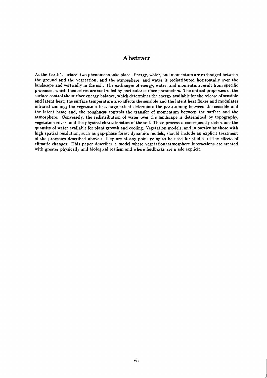## **Abstract**

At the Earth's surface, two phenomena take place. Energy, water, and momentum are exchanged between the ground and the vegetation, and the atmosphere, and water is redistributed horizontally over the landscape and vertically in the soil. The exchanges of energy, water, and momentum result from specific processes, which themselves are controlled by particular surface parameters. The optical properties of the surface control the surface energy balance, which determines the energy available for the release of sensible and latent heat; the surface temperature also affects the sensible and the latent heat fluxes and modulates infrared cooling; the vegetation to a large extent determines the partitioning between the sensible and the latent heat; and, the roughness controls the transfer of momentum between the surface and the atmosphere. Conversely, the redistribution of water over the landscape is determined by topography, vegetation cover, and the physical characteristics of the soil. These processes consequently determine the quantity of water available for plant growth and cooling. Vegetation models, and in particular those with high spatial resolution, such as gap-phase forest dynamics models, should include an explicit treatment of the processes described above if they are at any point going to be used for studies of the effects of climatic changes. This paper describes a model where vegetation/atmosphere interactions are treated with greater physically and biological realism and where feedbacks are made explicit.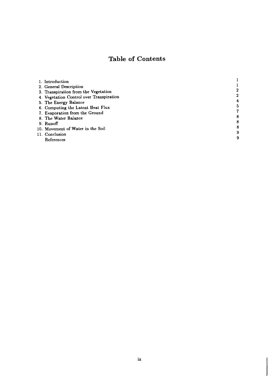## **Table of Contents**

| 1. Introduction                          |   |
|------------------------------------------|---|
| 2. General Description                   |   |
| 3. Transpiration from the Vegetation     |   |
| 4. Vegetation Control over Transpiration |   |
| 5. The Energy Balance                    |   |
| 6. Computing the Latent Heat Flux        |   |
| 7. Evaporation from the Ground           |   |
| 8. The Water Balance                     | с |
| 9. Runoff                                |   |
| 10. Movement of Water in the Soil        |   |
| 11. Conclusion                           |   |
| References                               |   |
|                                          |   |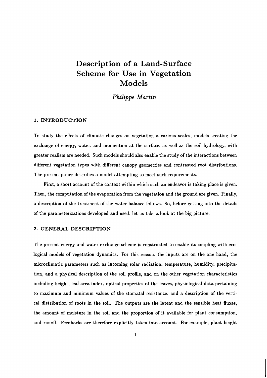# **Description of a Land- Surface Scheme for Use in Vegetation Models**

## *Philippe Martin*

#### **1. INTRODUCTION**

To study the effects of climatic changes on vegetation a various scales, models treating the exchange of energy, water, and momentum at the surface, as well as the soil hydrology, with greater realism are needed. Such models should also enable the study of the interactions between different vegetation types with different canopy geometries and contrasted root distributions. The present paper describes a model attempting to meet such requirements.

First, a short account of the context within which such an endeavor is taking place is given. Then, the computation of the evaporation from the vegetation and the ground are given. Finally, a description of the treatment of the water balance follows. So, before getting into the details of the parameterizations developed and used, let us take a look at the big picture.

#### **2. GENERAL DESCRIPTION**

The present energy and water exchange scheme is constructed to enable its coupling with ecological models of vegetation dynamics. For this reason, the inputs are on the one hand, the microclimatic parameters such as incoming solar radiation, temperature, humidity, precipitation, and a physical description of the soil profile, and on the other vegetation characteristics including height, leaf area index, optical properties of the leaves, physiological data pertaining to maximum and minimum values of the stomatal resistance, and a description of the vertical distribution of roots in the soil. The outputs are the latent and the sensible heat fluxes, the amount of moisture in the soil and the proportion of it available for plant consumption, and runoff. Feedbacks are therefore explicitly taken into account. For example, plant height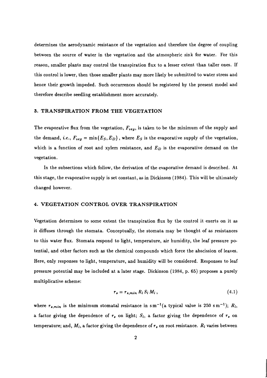determines the aerodynamic resistance of the vegetation and therefore the degree of coupling between the source of water in the vegetation and the atmospheric sink for water. For this reason, smaller plants may control the transpiration flux to a lesser extent than taller ones. If this control is lower, then those smaller plants may more likely be submitted to water stress and hence their growth impeded. Such occurrences should be registered by the present model and therefore describe seedling establishment more accurately.

#### **3. TRANSPIRATION FROM THE VEGETATION**

The evaporative flux from the vegetation,  $F_{veg}$ , is taken to be the minimum of the supply and the demand, *i.e.*,  $F_{veg} = \min\{E_S, E_D\}$ , where  $E_S$  is the evaporative supply of the vegetation, which is a function of root and xylem resistance, and  $E_D$  is the evaporative demand on the vegetation.

In the subsections which follow, the derivation of the evaporative demand is described. At this stage, the evaporative supply is set constant, as in Dickinson (1984). This will be ultimately changed however.

#### **4. VEGETATION CONTROL OVER TRANSPIRATION**

Vegetation determines to some extent the transpiration flux by the control it exerts on it as it diffuses through the stomata. Conceptually, the stomata may be thought of as resistances to this water flux. Stomata respond to light, temperature, air humidity, the leaf pressure potential, and other factors such as the chemical compounds which force the abscission of leaves. Here, only responses to light, temperature, and humidity will be considered. Responses to leaf pressure potential may be included at a later stage. Dickinson (1984, p. 65) proposes a purely multiplicative scheme:

$$
r_s = r_{s,min} R_l S_l M_l, \qquad (4.1)
$$

where  $r_{s,min}$  is the minimum stomatal resistance in sm<sup>-1</sup>(a typical value is 250 sm<sup>-1</sup>);  $R_l$ , a factor giving the dependence of  $r_s$  on light;  $S_l$ , a factor giving the dependence of  $r_s$  on temperature; and,  $M_l$ , a factor giving the dependence of  $r_s$  on root resistance.  $R_l$  varies between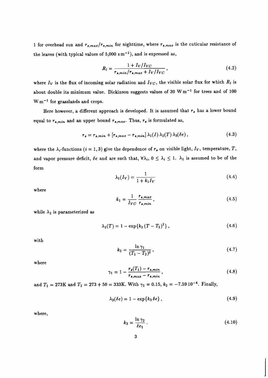1 for overhead sun and  $r_{s,max}/r_{s,min}$  for nighttime, where  $r_{s,max}$  is the cuticular resistance of the leaves (with typical values of  $5,000 \text{ s m}^{-1}$ ), and is expressed as,

$$
R_l = \frac{1 + I_V/I_{VC}}{r_{s,min}/r_{s,max} + I_V/I_{VC}}\,,\tag{4.2}
$$

where  $I_V$  is the flux of incoming solar radiation and  $I_{VC}$ , the visible solar flux for which  $R_l$  is about double its minimum value. Dickinson suggests values of 30 W  $m^{-1}$  for trees and of 100  $W m^{-1}$  for grasslands and crops.

Here however, a different approach is developed. It is assumed that  $r_s$  has a lower bound equal to  $r_{s,min}$  and an upper bound  $r_{s,max}$ . Thus,  $r_s$  is formulated as,

$$
r_s = r_{s,min} + [r_{s,max} - r_{s,min}] \lambda_1(I) \lambda_2(T) \lambda_3(\delta e), \qquad (4.3)
$$

where the  $\lambda_i$ -functions (i = 1,3) give the dependence of  $r_s$  on visible light,  $I_V$ , temperature, T, and vapor pressure deficit,  $\delta e$  and are such that,  $\forall \lambda_i$ ,  $0 \leq \lambda_i \leq 1$ .  $\lambda_1$  is assumed to be of the form

$$
\lambda_1(I_V) = \frac{1}{1 + k_1 I_V} \tag{4.4}
$$

where

$$
k_1 = \frac{1}{I_{VC}} \frac{r_{s,max}}{r_{s,min}},
$$
\n
$$
(4.5)
$$

while  $\lambda_2$  is parameterized as

$$
\lambda_2(T) = 1 - \exp\{k_2 (T - T_2)^2\},\tag{4.6}
$$

with

$$
k_2 = \frac{\ln \gamma_1}{(T_1 - T_2)^2},\tag{4.7}
$$

where

$$
\gamma_1 = 1 - \frac{r_s(T_1) - r_{s,min}}{r_{s,max} - r_{s,min}},
$$
\n(4.8)

and  $T_1 = 273$ K and  $T_2 = 273 + 50 = 333$ K. With  $\gamma_1 = 0.15$ ,  $k_2 = -7.59 \, 10^{-4}$ . Finally,

$$
\lambda_3(\delta e) = 1 - \exp\{k_3 \delta e\},\tag{4.9}
$$

where,

$$
k_3 = \frac{\ln \gamma_2}{\delta e_1} \,. \tag{4.10}
$$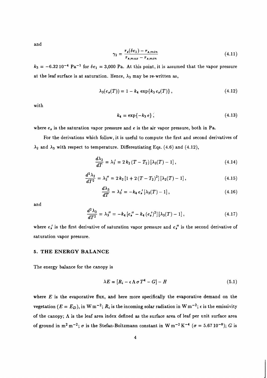and

$$
\gamma_2 = \frac{r_s(\delta e_1) - r_{s,min}}{r_{s,max} - r_{s,min}}\tag{4.11}
$$

 $k_3 = -6.32\,10^{-4}$  Pa<sup>-1</sup> for  $\delta e_1 = 3,000$  Pa. At this point, it is assumed that the vapor pressure at the leaf surface is at saturation. Hence,  $\lambda_3$  may be re-written as,

$$
\lambda_3(e_s(T)) = 1 - k_4 \, \exp\{k_3 \, e_s(T)\}\,,\tag{4.12}
$$

with

$$
k_4 = \exp\{-k_3 e\},\tag{4.13}
$$

where  $e_s$  is the saturation vapor pressure and  $e$  is the air vapor pressure, both in Pa.

For the derivations which follow, it is useful to compute the first and second derivatives of  $\lambda_2$  and  $\lambda_3$  with respect to temperature. Differentiating Eqs. (4.6) and (4.12),

$$
\frac{d\lambda_2}{dT} = \lambda_2' = 2 k_2 (T - T_2) [\lambda_2(T) - 1], \qquad (4.14)
$$

$$
\frac{d^2\lambda_2}{dT^2} = \lambda_2'' = 2 k_2 [1 + 2(T - T_2)^2] [\lambda_2(T) - 1], \qquad (4.15)
$$

$$
\frac{d\lambda_3}{dT} = \lambda_3' = -k_4 e_s' [\lambda_3(T) - 1], \qquad (4.16)
$$

and

$$
\frac{d^2\lambda_3}{dT^2} = \lambda_3'' = -k_4 \left[ e_s'' - k_4 \left( e_s' \right)^2 \right] \left[ \lambda_3(T) - 1 \right],\tag{4.17}
$$

where  $e_s$  is the first derivative of saturation vapor pressure and  $e_s$ " is the second derivative of saturation vapor pressure.

#### **5. THE ENERGY BALANCE**

The energy balance for the canopy is

$$
\lambda E = [R_i - \epsilon \Lambda \sigma T^4 - G] - H \tag{5.1}
$$

where E is the evaporative **flux,** and here more specifically the evaporative demand on the vegetation  $(E = E_D)$ , in W m<sup>-2</sup>;  $R_i$  is the incoming solar radiation in W m<sup>-2</sup>;  $\epsilon$  is the emissivity of the canopy;  $\Lambda$  is the leaf area index defined as the surface area of leaf per unit surface area of ground in m<sup>2</sup> m<sup>-2</sup>;  $\sigma$  is the Stefan-Boltzmann constant in W m<sup>-2</sup> K<sup>-4</sup> ( $\sigma$  = 5.67 10<sup>-8</sup>); G is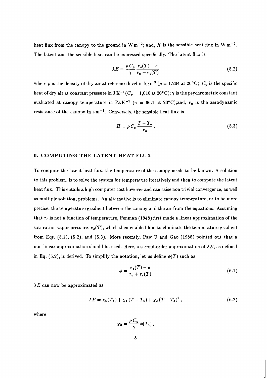heat flux from the canopy to the ground in  $W m^{-2}$ ; and, H is the sensible heat flux in  $W m^{-2}$ . The latent and the sensible heat can be expressed specifically. The latent flux is

$$
\lambda E = \frac{\rho C_p}{\gamma} \frac{e_s(T) - e}{r_a + r_c(T)} \tag{5.2}
$$

where  $\rho$  is the density of dry air at reference level in kg m<sup>3</sup> ( $\rho = 1.204$  at 20°C);  $C_p$  is the specific heat of dry air at constant pressure in J K<sup>-1</sup>( $C_p = 1,010$  at 20°C);  $\gamma$  is the psychrometric constant evaluated at canopy temperature in PaK<sup>-1</sup> ( $\gamma = 66.1$  at 20°C);and,  $r_a$  is the aerodynamic resistance of the canopy in  $\sin^{-1}$ . Conversely, the sensible heat flux is

$$
H = \rho C_p \frac{T - T_a}{r_a} \,. \tag{5.3}
$$

#### **6. COMPUTING THE LATENT HEAT FLUX**

To compute the latent heat flux, the temperature of the canopy needs to be known. A solution to this problem, is to solve the system for temperature iteratively and then to compute the latent heat flux. This entails a high computer cost however and can raise non trivial convergence, as well as multiple solution, problems. An alternative is to eliminate canopy temperature, or to be more precise, the temperature gradient between the canopy and the air from the equations. Assuming that *rc* is not a function of temperature, Penman (1948) first made a linear approximation of the saturation vapor pressure,  $e_s(T)$ , which then enabled him to eliminate the temperature gradient from Eqs. (5.1), (5.2), and (5.3). More recently, Paw U and Gao (1988) pointed out that a non-linear approximation should be used. Here, a second-order approximation of  $\lambda E$ , as defined in Eq.  $(5.2)$ , is derived. To simplify the notation, let us define  $\phi(T)$  such as

$$
\phi = \frac{e_s(T) - e}{r_a + r_c(T)}\tag{6.1}
$$

 $\lambda E$  can now be approximated as

$$
\lambda E = \chi_0(T_a) + \chi_1 (T - T_a) + \chi_2 (T - T_a)^2, \qquad (6.2)
$$

where

$$
\chi_0 = \frac{\rho C_p}{\gamma} \phi(T_a) \,,
$$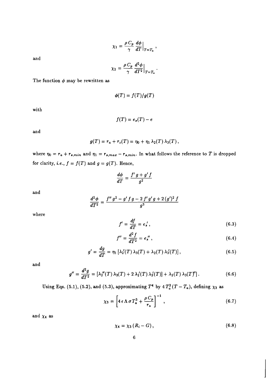$$
\chi_1 = \frac{\rho C_p}{\gamma} \frac{d\phi}{dT}\Big|_{T=T_a},
$$

**and** 

$$
\chi_2 = \frac{\rho C_p}{\gamma} \frac{d^2 \phi}{dT^2}\Big|_{T=T_a}.
$$

The function  $\phi$  may be rewritten as

$$
\phi(T)=f(T)/g(T)
$$

**with** 

$$
f(T)=e_s(T)-e
$$

**and** 

$$
g(T) = r_a + r_c(T) = \eta_0 + \eta_1 \lambda_2(T) \lambda_3(T),
$$

where  $\eta_0 = r_a + r_{s,min}$  and  $\eta_1 = r_{s,max} - r_{s,min}$ . In what follows the reference to *T* is dropped for clarity, *i.e.*,  $f = f(T)$  and  $g = g(T)$ . Hence,

$$
\frac{d\phi}{dT}=\frac{f' \, g+g' \, f}{g^2}
$$

**and** 

$$
\frac{d^2\phi}{dT^2} = \frac{f''\,g^2 - g'\,f\,g - 2\,f'\,g'\,g + 2\,(g')^2\,f}{g^3}
$$

**where** 

$$
f' = \frac{df}{dT} = e_s',\tag{6.3}
$$

$$
f'' = \frac{d^2 f}{dT^2} = e_s''\,,\tag{6.4}
$$

$$
g' = \frac{dg}{dT} = \eta_1 \left[ \lambda_2'(T) \lambda_3(T) + \lambda_2(T) \lambda_3'(T) \right],\tag{6.5}
$$

**and** 

$$
g'' = \frac{d^2g}{dT^2} = [\lambda_2''(T)\lambda_3(T) + 2\lambda_2'(T)\lambda_3'(T)] + \lambda_2(T)\lambda_3(T)'
$$
 (6.6)

**Using Eqs.** (5.1), (5.2), and (5.3), approximating  $T^4$  by  $4 T_a^3 (T - T_a)$ , defining  $\chi_3$  as

$$
\chi_3 = \left[ 4 \epsilon \Lambda \sigma T_a^3 + \frac{\rho C_p}{r_a} \right]^{-1}, \qquad (6.7)
$$

and  $\chi_4$  as

$$
\chi_4 = \chi_3 \left( R_i - G \right), \tag{6.8}
$$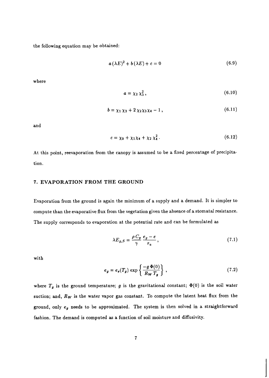the following equation may be obtained:

$$
a\left(\lambda E\right)^{2}+b\left(\lambda E\right)+c=0\tag{6.9}
$$

where

$$
a = \chi_2 \chi_3^2, \tag{6.10}
$$

$$
b = \chi_1 \chi_3 + 2 \chi_2 \chi_3 \chi_4 - 1, \qquad (6.11)
$$

and

$$
c = \chi_0 + \chi_1 \chi_4 + \chi_2 \chi_4^2 \,. \tag{6.12}
$$

At this point, reevaporation from the canopy is assumed to be a fixed percentage of precipitation.

#### **7. EVAPORATION FROM THE GROUND**

Evaporation from the ground is again the minimum of a supply and a demand. It is simpler to compute than the evaporative flux from the vegetation given the absence of a stomatal resistance. The supply corresponds to evaporation at the potential rate and can be formulated as

$$
\lambda E_{g,S} = \frac{\rho C_p}{\gamma} \frac{e_g - e}{r_a},\tag{7.1}
$$

with

$$
e_g = e_s(T_g) \exp\left\{\frac{-g \Phi(0)}{R_W T_g}\right\},\qquad(7.2)
$$

where  $T_g$  is the ground temperature; g is the gravitational constant;  $\Phi(0)$  is the soil water suction; and, **Rw** is the water vapor gas constant. To compute the latent heat flux from the ground, only *eg* needs to be approximated. The system is then solved in a straightforward fashion. The demand is computed as a function of soil moisture and diffusivity.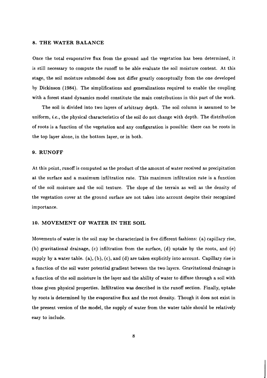#### **8. THE WATER BALANCE**

Once the total evaporative flux from the ground and the vegetation has been determined, it is still necessary to compute the runoff to be able evaluate the soil moisture content. At this stage, the soil moisture submodel does not differ greatly conceptually from the one developed by Dickinson (1984). The simplifications and generalizations required to enable the coupling with a forest stand dynamics model constitute the main contributions in this part of the work.

The soil is divided into two layers of arbitrary depth. The soil column is assumed to be uniform, *i.e.,* the physical characteristics of the soil do not change with depth. The distribution of roots is a function of the vegetation and any configuration is possible: there can be roots in the top layer alone, in the bottom layer, or in both.

#### **9. RUNOFF**

At this point, runoff is computed as the product of the amount of water received as precipitation at the surface and a maximum infiltration rate. This maximum infiltration rate is a function of the soil moisture and the soil texture. The slope of the terrain as well as the density of the vegetation cover at the ground surface are not taken into account despite their recognized importance.

#### **10. MOVEMENT OF WATER IN THE SOIL**

Movements of water in the soil may be characterized in five different fashions: (a) capillary rise, (b) gravitational drainage, (c) infiltration from the surface, (d) uptake by the roots, and (e) supply by a water table. (a), (b), (c), and (d) are taken explicitly into account. Capillary rise is a function of the soil water potential gradient between the two layers. Gravitational drainage is a function of the soil moisture in the layer and the ability of water to diffuse through a soil with those given physical properties. Infiltration was described in the runoff section. Finally, uptake by roots is determined by the evaporative flux and the root density. Though it does not exist in the present version of the model, the supply of water from the water table should be relatively easy to include.